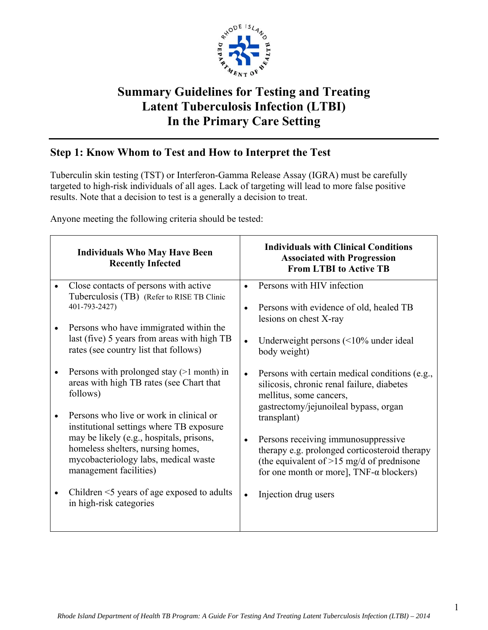

# **Summary Guidelines for Testing and Treating Latent Tuberculosis Infection (LTBI) In the Primary Care Setting**

# **Step 1: Know Whom to Test and How to Interpret the Test**

Tuberculin skin testing (TST) or Interferon-Gamma Release Assay (IGRA) must be carefully targeted to high-risk individuals of all ages. Lack of targeting will lead to more false positive results. Note that a decision to test is a generally a decision to treat.

Anyone meeting the following criteria should be tested:

| <b>Individuals Who May Have Been</b><br><b>Recently Infected</b>                                                                                                                                                                       | <b>Individuals with Clinical Conditions</b><br><b>Associated with Progression</b><br><b>From LTBI to Active TB</b>                                                                                                                                         |
|----------------------------------------------------------------------------------------------------------------------------------------------------------------------------------------------------------------------------------------|------------------------------------------------------------------------------------------------------------------------------------------------------------------------------------------------------------------------------------------------------------|
| Close contacts of persons with active<br>Tuberculosis (TB) (Refer to RISE TB Clinic<br>401-793-2427)                                                                                                                                   | Persons with HIV infection<br>$\bullet$<br>Persons with evidence of old, healed TB<br>$\bullet$<br>lesions on chest X-ray                                                                                                                                  |
| Persons who have immigrated within the<br>last (five) 5 years from areas with high TB<br>rates (see country list that follows)                                                                                                         | Underweight persons $($ 10\% under ideal<br>body weight)                                                                                                                                                                                                   |
| Persons with prolonged stay $(>1$ month) in<br>areas with high TB rates (see Chart that<br>follows)                                                                                                                                    | Persons with certain medical conditions (e.g.,<br>$\bullet$<br>silicosis, chronic renal failure, diabetes<br>mellitus, some cancers,                                                                                                                       |
| Persons who live or work in clinical or<br>institutional settings where TB exposure<br>may be likely (e.g., hospitals, prisons,<br>homeless shelters, nursing homes,<br>mycobacteriology labs, medical waste<br>management facilities) | gastrectomy/jejunoileal bypass, organ<br>transplant)<br>Persons receiving immunosuppressive<br>$\bullet$<br>therapy e.g. prolonged corticosteroid therapy<br>(the equivalent of $>15$ mg/d of prednisone<br>for one month or more], $TNF-\alpha$ blockers) |
| Children $\leq$ years of age exposed to adults<br>in high-risk categories                                                                                                                                                              | Injection drug users<br>$\bullet$                                                                                                                                                                                                                          |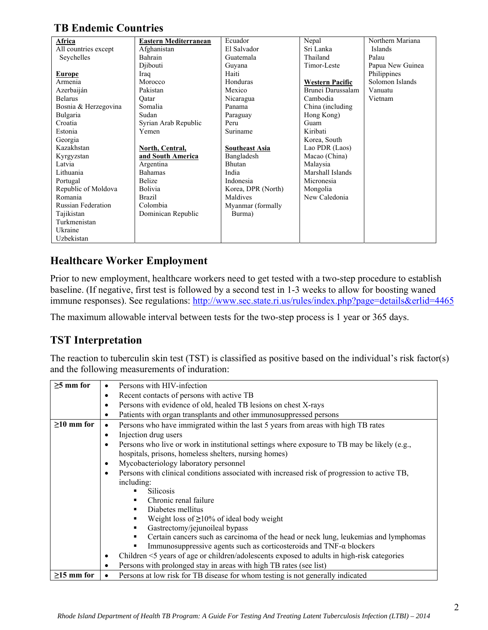# **TB Endemic Countries**

| Africa                    | Eastern Mediterranean  | Ecuador               | Nepal                  | Northern Mariana |
|---------------------------|------------------------|-----------------------|------------------------|------------------|
| All countries except      | Afghanistan            | El Salvador           | Sri Lanka              | Islands          |
| Seychelles                | Bahrain                | Guatemala             | Thailand               | Palau            |
|                           | Djibouti               | Guyana                | Timor-Leste            | Papua New Guinea |
| <b>Europe</b>             | Iraq                   | Haiti                 |                        | Philippines      |
| Armenia                   | Morocco                | Honduras              | <b>Western Pacific</b> | Solomon Islands  |
| Azerbaiján                | Pakistan               | Mexico                | Brunei Darussalam      | Vanuatu          |
| <b>Belarus</b>            | Qatar                  | Nicaragua             | Cambodia               | Vietnam          |
| Bosnia & Herzegovina      | Somalia                | Panama                | China (including)      |                  |
| Bulgaria                  | Sudan                  | Paraguay              | Hong Kong)             |                  |
| Croatia                   | Syrian Arab Republic   | Peru                  | Guam                   |                  |
| Estonia                   | Yemen                  | Suriname              | Kiribati               |                  |
| Georgia                   |                        |                       | Korea, South           |                  |
| Kazakhstan                | <b>North, Central,</b> | <b>Southeast Asia</b> | Lao PDR (Laos)         |                  |
| Kyrgyzstan                | and South America      | Bangladesh            | Macao (China)          |                  |
| Latvia                    | Argentina              | Bhutan                | Malaysia               |                  |
| Lithuania                 | <b>Bahamas</b>         | India                 | Marshall Islands       |                  |
| Portugal                  | Belize                 | Indonesia             | Micronesia             |                  |
| Republic of Moldova       | <b>Bolivia</b>         | Korea, DPR (North)    | Mongolia               |                  |
| Romania                   | <b>Brazil</b>          | Maldives              | New Caledonia          |                  |
| <b>Russian Federation</b> | Colombia               | Myanmar (formally     |                        |                  |
| Tajikistan                | Dominican Republic     | Burma)                |                        |                  |
| Turkmenistan              |                        |                       |                        |                  |
| Ukraine                   |                        |                       |                        |                  |
| Uzbekistan                |                        |                       |                        |                  |

## **Healthcare Worker Employment**

Prior to new employment, healthcare workers need to get tested with a two-step procedure to establish baseline. (If negative, first test is followed by a second test in 1-3 weeks to allow for boosting waned immune responses). See regulations: http://www.sec.state.ri.us/rules/index.php?page=details&erlid=4465

The maximum allowable interval between tests for the two-step process is 1 year or 365 days.

## **TST Interpretation**

The reaction to tuberculin skin test (TST) is classified as positive based on the individual's risk factor(s) and the following measurements of induration:

| $\geq$ 5 mm for  |   | Persons with HIV-infection                                                                                                                            |  |  |  |  |
|------------------|---|-------------------------------------------------------------------------------------------------------------------------------------------------------|--|--|--|--|
|                  |   | Recent contacts of persons with active TB                                                                                                             |  |  |  |  |
|                  | ٠ | Persons with evidence of old, healed TB lesions on chest X-rays                                                                                       |  |  |  |  |
|                  |   | Patients with organ transplants and other immunosuppressed persons                                                                                    |  |  |  |  |
| $\geq$ 10 mm for |   | Persons who have immigrated within the last 5 years from areas with high TB rates                                                                     |  |  |  |  |
|                  |   | Injection drug users                                                                                                                                  |  |  |  |  |
|                  |   | Persons who live or work in institutional settings where exposure to TB may be likely (e.g.,<br>hospitals, prisons, homeless shelters, nursing homes) |  |  |  |  |
|                  |   | Mycobacteriology laboratory personnel                                                                                                                 |  |  |  |  |
|                  |   | Persons with clinical conditions associated with increased risk of progression to active TB,                                                          |  |  |  |  |
|                  |   | including:                                                                                                                                            |  |  |  |  |
|                  |   | <b>Silicosis</b>                                                                                                                                      |  |  |  |  |
|                  |   | Chronic renal failure                                                                                                                                 |  |  |  |  |
|                  |   | Diabetes mellitus<br>٠                                                                                                                                |  |  |  |  |
|                  |   | Weight loss of $\geq$ 10% of ideal body weight                                                                                                        |  |  |  |  |
|                  |   | Gastrectomy/jejunoileal bypass                                                                                                                        |  |  |  |  |
|                  |   | Certain cancers such as carcinoma of the head or neck lung, leukemias and lymphomas<br>٠                                                              |  |  |  |  |
|                  |   | Immunosuppressive agents such as corticosteroids and TNF- $\alpha$ blockers                                                                           |  |  |  |  |
|                  |   | Children <5 years of age or children/adolescents exposed to adults in high-risk categories                                                            |  |  |  |  |
|                  |   | Persons with prolonged stay in areas with high TB rates (see list)                                                                                    |  |  |  |  |
| $\geq$ 15 mm for |   | Persons at low risk for TB disease for whom testing is not generally indicated                                                                        |  |  |  |  |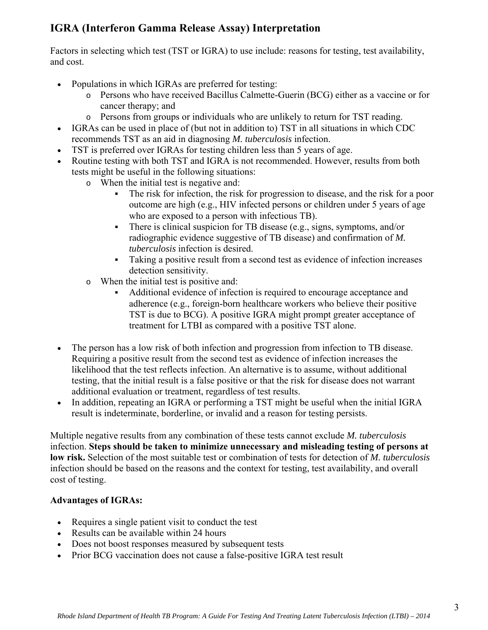# **IGRA (Interferon Gamma Release Assay) Interpretation**

Factors in selecting which test (TST or IGRA) to use include: reasons for testing, test availability, and cost.

- Populations in which IGRAs are preferred for testing:
	- o Persons who have received Bacillus Calmette-Guerin (BCG) either as a vaccine or for cancer therapy; and
	- o Persons from groups or individuals who are unlikely to return for TST reading.
- IGRAs can be used in place of (but not in addition to) TST in all situations in which CDC recommends TST as an aid in diagnosing *M. tuberculosis* infection.
- TST is preferred over IGRAs for testing children less than 5 years of age.
- Routine testing with both TST and IGRA is not recommended. However, results from both tests might be useful in the following situations:
	- o When the initial test is negative and:
		- The risk for infection, the risk for progression to disease, and the risk for a poor outcome are high (e.g., HIV infected persons or children under 5 years of age who are exposed to a person with infectious TB).
		- There is clinical suspicion for TB disease (e.g., signs, symptoms, and/or radiographic evidence suggestive of TB disease) and confirmation of *M. tuberculosis* infection is desired.
		- Taking a positive result from a second test as evidence of infection increases detection sensitivity.
	- o When the initial test is positive and:
		- Additional evidence of infection is required to encourage acceptance and adherence (e.g., foreign-born healthcare workers who believe their positive TST is due to BCG). A positive IGRA might prompt greater acceptance of treatment for LTBI as compared with a positive TST alone.
- The person has a low risk of both infection and progression from infection to TB disease. Requiring a positive result from the second test as evidence of infection increases the likelihood that the test reflects infection. An alternative is to assume, without additional testing, that the initial result is a false positive or that the risk for disease does not warrant additional evaluation or treatment, regardless of test results.
- In addition, repeating an IGRA or performing a TST might be useful when the initial IGRA result is indeterminate, borderline, or invalid and a reason for testing persists.

Multiple negative results from any combination of these tests cannot exclude *M. tuberculosis* infection. **Steps should be taken to minimize unnecessary and misleading testing of persons at low risk.** Selection of the most suitable test or combination of tests for detection of *M. tuberculosis*  infection should be based on the reasons and the context for testing, test availability, and overall cost of testing.

### **Advantages of IGRAs:**

- Requires a single patient visit to conduct the test
- Results can be available within 24 hours
- Does not boost responses measured by subsequent tests
- Prior BCG vaccination does not cause a false-positive IGRA test result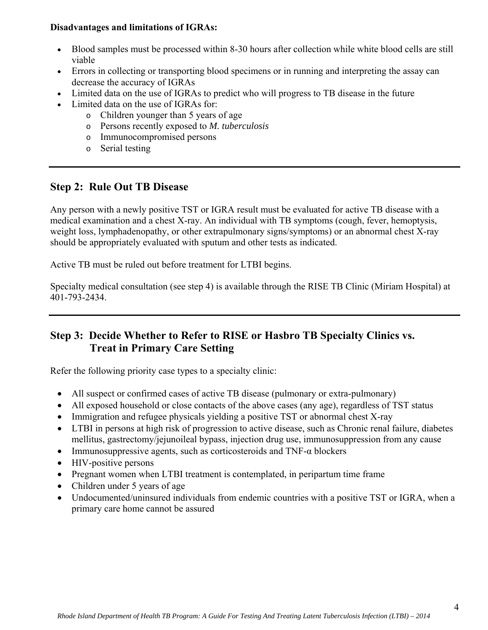#### **Disadvantages and limitations of IGRAs:**

- Blood samples must be processed within 8-30 hours after collection while white blood cells are still viable
- Errors in collecting or transporting blood specimens or in running and interpreting the assay can decrease the accuracy of IGRAs
- Limited data on the use of IGRAs to predict who will progress to TB disease in the future
- Limited data on the use of IGRAs for:
	- o Children younger than 5 years of age
	- o Persons recently exposed to *M. tuberculosis*
	- o Immunocompromised persons
	- o Serial testing

## **Step 2: Rule Out TB Disease**

Any person with a newly positive TST or IGRA result must be evaluated for active TB disease with a medical examination and a chest X-ray. An individual with TB symptoms (cough, fever, hemoptysis, weight loss, lymphadenopathy, or other extrapulmonary signs/symptoms) or an abnormal chest X-ray should be appropriately evaluated with sputum and other tests as indicated.

Active TB must be ruled out before treatment for LTBI begins.

Specialty medical consultation (see step 4) is available through the RISE TB Clinic (Miriam Hospital) at 401-793-2434.

## **Step 3: Decide Whether to Refer to RISE or Hasbro TB Specialty Clinics vs. Treat in Primary Care Setting**

Refer the following priority case types to a specialty clinic:

- All suspect or confirmed cases of active TB disease (pulmonary or extra-pulmonary)
- All exposed household or close contacts of the above cases (any age), regardless of TST status
- Immigration and refugee physicals yielding a positive TST or abnormal chest X-ray
- LTBI in persons at high risk of progression to active disease, such as Chronic renal failure, diabetes mellitus, gastrectomy/jejunoileal bypass, injection drug use, immunosuppression from any cause
- Immunosuppressive agents, such as corticosteroids and TNF- $\alpha$  blockers
- HIV-positive persons
- Pregnant women when LTBI treatment is contemplated, in peripartum time frame
- Children under 5 years of age
- Undocumented/uninsured individuals from endemic countries with a positive TST or IGRA, when a primary care home cannot be assured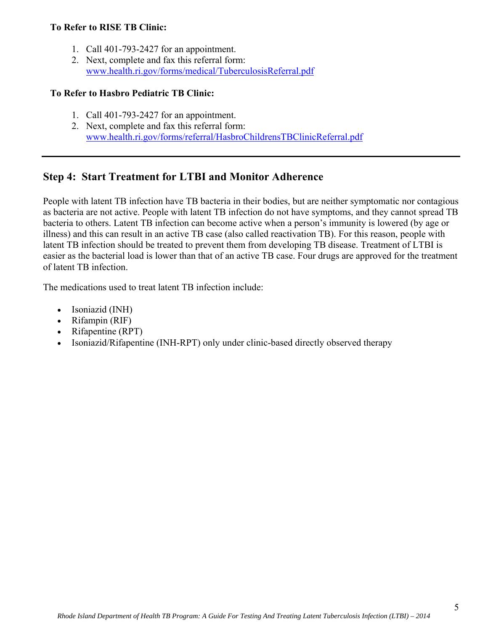#### **To Refer to RISE TB Clinic:**

- 1. Call 401-793-2427 for an appointment.
- 2. Next, complete and fax this referral form: www.health.ri.gov/forms/medical/TuberculosisReferral.pdf

#### **To Refer to Hasbro Pediatric TB Clinic:**

- 1. Call 401-793-2427 for an appointment.
- 2. Next, complete and fax this referral form: www.health.ri.gov/forms/referral/HasbroChildrensTBClinicReferral.pdf

## **Step 4: Start Treatment for LTBI and Monitor Adherence**

People with latent TB infection have TB bacteria in their bodies, but are neither symptomatic nor contagious as bacteria are not active. People with latent TB infection do not have symptoms, and they cannot spread TB bacteria to others. Latent TB infection can become active when a person's immunity is lowered (by age or illness) and this can result in an active TB case (also called reactivation TB). For this reason, people with latent TB infection should be treated to prevent them from developing TB disease. Treatment of LTBI is easier as the bacterial load is lower than that of an active TB case. Four drugs are approved for the treatment of latent TB infection.

The medications used to treat latent TB infection include:

- Isoniazid (INH)
- Rifampin (RIF)
- Rifapentine (RPT)
- Isoniazid/Rifapentine (INH-RPT) only under clinic-based directly observed therapy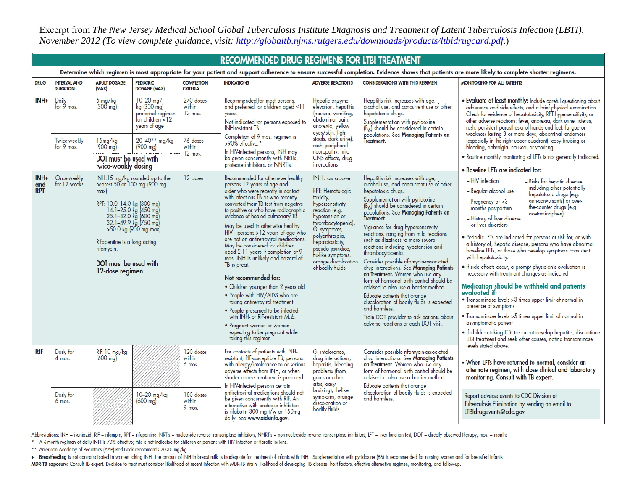Excerpt from *The New Jersey Medical School Global Tuberculosis Institute Diagnosis and Treatment of Latent Tuberculosis Infection (LBTI), November 2012 (To view complete guidance, visit: http://globaltb.njms.rutgers.edu/downloads/products/ltbidrugcard.pdf*.)

|                                                                                                                                                                                                | <b>RECOMMENDED DRUG REGIMENS FOR LTBI TREATMENT</b> |                                                                                                                                                                                                                                 |                                                                                             |                                      |                                                                                                                                                                                                                                                                                                                                                                                                                                                                                                                                                                                                                                                                                                                                                                                                                     |                                                                                                                                                                                                                                                                          |                                                                                                                                                                                                                                                                                                                                                                                                                                                                                                                                                                                                                                                                                                                                                                                                                                    |                                                                                                                                                                                                                                                                                                                                                                                                                                                                                                                                                                                                                                                                                                                                                                                                                                                                                                                                                                                                                           |                                                                                                                                                                                                                                         |
|------------------------------------------------------------------------------------------------------------------------------------------------------------------------------------------------|-----------------------------------------------------|---------------------------------------------------------------------------------------------------------------------------------------------------------------------------------------------------------------------------------|---------------------------------------------------------------------------------------------|--------------------------------------|---------------------------------------------------------------------------------------------------------------------------------------------------------------------------------------------------------------------------------------------------------------------------------------------------------------------------------------------------------------------------------------------------------------------------------------------------------------------------------------------------------------------------------------------------------------------------------------------------------------------------------------------------------------------------------------------------------------------------------------------------------------------------------------------------------------------|--------------------------------------------------------------------------------------------------------------------------------------------------------------------------------------------------------------------------------------------------------------------------|------------------------------------------------------------------------------------------------------------------------------------------------------------------------------------------------------------------------------------------------------------------------------------------------------------------------------------------------------------------------------------------------------------------------------------------------------------------------------------------------------------------------------------------------------------------------------------------------------------------------------------------------------------------------------------------------------------------------------------------------------------------------------------------------------------------------------------|---------------------------------------------------------------------------------------------------------------------------------------------------------------------------------------------------------------------------------------------------------------------------------------------------------------------------------------------------------------------------------------------------------------------------------------------------------------------------------------------------------------------------------------------------------------------------------------------------------------------------------------------------------------------------------------------------------------------------------------------------------------------------------------------------------------------------------------------------------------------------------------------------------------------------------------------------------------------------------------------------------------------------|-----------------------------------------------------------------------------------------------------------------------------------------------------------------------------------------------------------------------------------------|
| Determine which regimen is most appropriate for your patient and support adherence to ensure successful completion. Evidence shows that patients are more likely to complete shorter regimens. |                                                     |                                                                                                                                                                                                                                 |                                                                                             |                                      |                                                                                                                                                                                                                                                                                                                                                                                                                                                                                                                                                                                                                                                                                                                                                                                                                     |                                                                                                                                                                                                                                                                          |                                                                                                                                                                                                                                                                                                                                                                                                                                                                                                                                                                                                                                                                                                                                                                                                                                    |                                                                                                                                                                                                                                                                                                                                                                                                                                                                                                                                                                                                                                                                                                                                                                                                                                                                                                                                                                                                                           |                                                                                                                                                                                                                                         |
| <b>DRUG</b>                                                                                                                                                                                    | <b>INTERVAL AND</b><br><b>DURATION</b>              | <b>ADULT DOSAGE</b><br>(MAX)                                                                                                                                                                                                    | <b>PEDIATRIC</b><br><b>DOSAGE (MAX)</b>                                                     | <b>COMPLETION</b><br><b>CRITERIA</b> | <b>INDICATIONS</b>                                                                                                                                                                                                                                                                                                                                                                                                                                                                                                                                                                                                                                                                                                                                                                                                  | <b>ADVERSE REACTIONS</b>                                                                                                                                                                                                                                                 | <b>CONSIDERATIONS WITH THIS REGIMEN</b>                                                                                                                                                                                                                                                                                                                                                                                                                                                                                                                                                                                                                                                                                                                                                                                            | <b>MONITORING FOR ALL PATIENTS</b>                                                                                                                                                                                                                                                                                                                                                                                                                                                                                                                                                                                                                                                                                                                                                                                                                                                                                                                                                                                        |                                                                                                                                                                                                                                         |
| <b>INH</b>                                                                                                                                                                                     | Daily<br>for $9$ mos.                               | 5 mg/kg<br>(300 mg)                                                                                                                                                                                                             | $10 - 20$ mg/<br>kg (300 mg)<br>preferred regimen<br>for children $\leq 12$<br>years of age | 270 doses<br>within<br>$12$ mos.     | Recommended for most persons,<br>and preferred for children aged $\leq 11$<br>vears.<br>Not indicated for persons exposed to<br><b>INH-resistant TB.</b><br>Completion of 9 mos. regimen is<br>>90% effective.*                                                                                                                                                                                                                                                                                                                                                                                                                                                                                                                                                                                                     | Hepatic enzyme<br>elevation, hepatitis<br>(nausea, vomiting,<br>abdominal pain,<br>anorexia, yellow                                                                                                                                                                      | Hepatitis risk increases with age,<br>alcohol use, and concurrent use of other<br>hepatotoxic drugs.<br>Supplementation with pyridoxine<br>$(B_6)$ should be considered in certain                                                                                                                                                                                                                                                                                                                                                                                                                                                                                                                                                                                                                                                 | • Evaluate at least monthly: Include careful questioning about adherence and side effects, and a brief physical examination.<br>Check for evidence of hepatotoxicity, RPT hypersensitivity, or<br>other adverse reactions: fever, anorexia, dark urine, icterus,                                                                                                                                                                                                                                                                                                                                                                                                                                                                                                                                                                                                                                                                                                                                                          |                                                                                                                                                                                                                                         |
|                                                                                                                                                                                                | Twice-weekly<br>for 9 mos.                          | 15mg/kg<br>$(900 \text{ mg})$                                                                                                                                                                                                   | $20 - 40**$ mg/kg<br>$(900 \text{ mg})$                                                     | 76 doses<br>within                   |                                                                                                                                                                                                                                                                                                                                                                                                                                                                                                                                                                                                                                                                                                                                                                                                                     |                                                                                                                                                                                                                                                                          | eyes/skin, light<br>stools, dark urine),                                                                                                                                                                                                                                                                                                                                                                                                                                                                                                                                                                                                                                                                                                                                                                                           | populations. See Managing Patients on<br>Treatment.                                                                                                                                                                                                                                                                                                                                                                                                                                                                                                                                                                                                                                                                                                                                                                                                                                                                                                                                                                       | entice and persistent parashesia of hands and feet, fatjage or<br>trash, persistent parashesia of hands and feet, fatjage or<br>weakness lasting 3 or more days, abdominal tenderness<br>(especially in the right upper quadrant), easy |
|                                                                                                                                                                                                |                                                     | DOT must be used with<br>twice-weekly dosing                                                                                                                                                                                    |                                                                                             |                                      | In HIV-infected persons, INH may<br>$12$ mos.<br>be given concurrently with NRTIs,<br>protease inhibitors, or NNRTIs.                                                                                                                                                                                                                                                                                                                                                                                                                                                                                                                                                                                                                                                                                               | rash, peripheral<br>neuropathy, mild<br>CNS effects, drug<br>interactions                                                                                                                                                                                                |                                                                                                                                                                                                                                                                                                                                                                                                                                                                                                                                                                                                                                                                                                                                                                                                                                    | . Routine monthly monitoring of LFTs is not generally indicated.<br>• Baseline LFTs are indicated for:                                                                                                                                                                                                                                                                                                                                                                                                                                                                                                                                                                                                                                                                                                                                                                                                                                                                                                                    |                                                                                                                                                                                                                                         |
| INH+<br>and<br><b>RPT</b>                                                                                                                                                                      | Once-weekly<br>for 12 weeks                         | max<br>RPT: 10.0–14.0 kg (300 mg)<br>14.1–25.0 kg (450 mg)<br>25.1–32.0 kg (600 mg)<br>32.1–49.9 kg (750 mg)<br>>50.0 kg (900 mg max)<br>Rifapentine is a long acting<br>rifamycin.<br>DOI must be used with<br>12-dose regimen | INH:15 mg/kg rounded up to the<br>nearest 50 or 100 mg (900 mg                              | 12 doses                             | Recommended for otherwise healthy<br>persons 12 years of age and<br>older who were recently in contact<br>with infectious TB or who recently<br>converted their TB test from negative<br>to positive or who have radiographic<br>evidence of healed pulmonary TB.<br>May be used in otherwise healthy<br>HIV+ persons >12 years of age who<br>are not on antiretroviral medications.<br>May be considered for children<br>and 2-11 years if completion of 9<br>mos. INH is unlikely and hazard of<br>TB is great.<br>Not recommended for:<br>. Children younger than 2 years old<br>• People with HIV/AIDS who are<br>taking antiretroviral treatment<br>· People presumed to be infected<br>with INH- or RIF-resistant M.tb.<br>• Pregnant women or women<br>expecting to be pregnant while<br>taking this regimen | INH: as above<br>RPT: Hematologic<br>toxicity,<br>hypersensitivity<br>reaction (e.g.<br>hypotension or<br>thrombocytopenia),<br>Gl symptoms,<br>polyarthralgia,<br>hepatotoxicity,<br>pseudo jaundice,<br>flu-like symptoms,<br>orange discoloration<br>of bodily fluids | Hepatitis risk increases with age,<br>alcohol use, and concurrent use of other<br>hepatotoxic drugs.<br>Supplementation with pyridoxine<br>$(B_6)$ should be considered in certain<br>populations. See Managing Patients on<br>Treatment.<br>Vigilance for drug hypersensitivity<br>reactions, ranging from mild reactions<br>such as dizziness to more severe<br>reactions including hypotension and<br>thrombocytopenia.<br>Consider possible rifamycin-associated<br>drug interactions. See <b>Managing Patients</b><br>on Treatment. Women who use any<br>form of hormonal birth control should be<br>advised to also use a barrier method.<br>Educate patients that orange<br>discoloration of bodily fluids is expected<br>and harmless.<br>Train DOT provider to ask patients about<br>adverse reactions at each DOT visit. | - HIV infection<br>- Risks for hepatic disease,<br>including other potentially<br>- Regular alcohol use<br>hepatotoxic drugs (e.g.<br>anti-convulsants) or over-<br>$-$ Pregnancy or $<$ 3<br>the-counter drugs (e.g.<br>months postpartum<br>acetaminophen)<br>- History of liver disease<br>or liver disorders<br>· Periodic LFTs are indicated for persons at risk for, or with<br>a history of, hepatic disease, persons who have abnormal<br>baseline LFTs, or those who develop symptoms consistent<br>with hepatotoxicity.<br>· If side effects occur, a prompt physician's evaluation is<br>necessary with treatment changes as indicated<br>Medication should be withheld and patients<br>evaluated if:<br>· Transaminase levels >3 times upper limit of normal in<br>presence of symptoms<br>· Transaminase levels >5 times upper limit of normal in<br>asymptomatic patient<br>. If children taking LTBI treatment develop hepatitis, discontinue<br>LTBI treatment and seek other causes, noting transaminase |                                                                                                                                                                                                                                         |
| <b>RIF</b>                                                                                                                                                                                     | Daily for<br>4 mos.                                 | RIF 10 mg/kg<br>$(600 \text{ ma})$                                                                                                                                                                                              |                                                                                             | 120 doses<br>within<br>6 mos.        | For contacts of patients with INH-<br>resistant, RIF-susceptible TB, persons<br>with allergy/intolerance to or serious<br>adverse effects from INH, or when<br>shorter course treatment is preferred.<br>In HIV-infected persons certain<br>antiretroviral medications should not<br>be given concurrently with RIF. An<br>alternative with protease inhibitors<br>is rifabutin 300 mg t/w or 150mg<br>daily. See www.aidsinfo.gov.                                                                                                                                                                                                                                                                                                                                                                                 | GI intolerance,<br>problems (from<br>gums or other<br>sites, easy<br>bruising), flu-like<br>bodily fluids                                                                                                                                                                | drug interactions,<br>hepatitis, bleeding                                                                                                                                                                                                                                                                                                                                                                                                                                                                                                                                                                                                                                                                                                                                                                                          | Consider possible rifamycin-associated<br>drug interactions. See Managing Patients<br>on Treatment. Women who use any<br>form of hormonal birth control should be<br>advised to also use a barrier method.<br>Educate patients that orange<br>discoloration of bodily fluids is expected<br>and harmless.                                                                                                                                                                                                                                                                                                                                                                                                                                                                                                                                                                                                                                                                                                                 | levels stated above.<br>. When LFTs have returned to normal, consider an<br>alternate regimen, with close clinical and laboratory<br>monitoring. Consult with TB expert.                                                                |
|                                                                                                                                                                                                | Daily for<br>6 mos.                                 |                                                                                                                                                                                                                                 | 10-20 mg/kg<br>$(600 \text{ mg})$                                                           | 180 doses<br>within<br>9 mos.        |                                                                                                                                                                                                                                                                                                                                                                                                                                                                                                                                                                                                                                                                                                                                                                                                                     |                                                                                                                                                                                                                                                                          | symptoms, orange<br>discoloration of                                                                                                                                                                                                                                                                                                                                                                                                                                                                                                                                                                                                                                                                                                                                                                                               |                                                                                                                                                                                                                                                                                                                                                                                                                                                                                                                                                                                                                                                                                                                                                                                                                                                                                                                                                                                                                           | Report adverse events to CDC Division of<br>Tuberculosis Elimination by sending an email to<br>LTBIdrugevents@cdc.gov                                                                                                                   |

Abbreviations: INH = isoniazid, RIF = rifampin, RPT = rifapentine, NRTIs = nucleoside reverse transcriptase inhibitors, NNRTIs = non-nucleoside reverse transcriptase inhibitors, ET = liver function test, DOT = directly obs

\* A 6-month regimen of daily INH is 70% effective; this is not indicated for children or persons with HIV infection or fibrotic lesions.

\*\* American Academy of Pediatrics (AAP) Red Book recommends 20-30 mg/kg.

+ Breastfeeding is not contraindicated in women taking INH. The amount of INH in breast milk is inadequate for treatment of infants with INH. Supplementation with pyridoxine (B6) is recommended for nursing women and for b MDR-TB exposure: Consult TB expert. Decision to treat must consider likelihood of recent infection with MDR-TB strain, likelihood of developing TB disease, host factors, effective alternative regimen, monitoring, and follo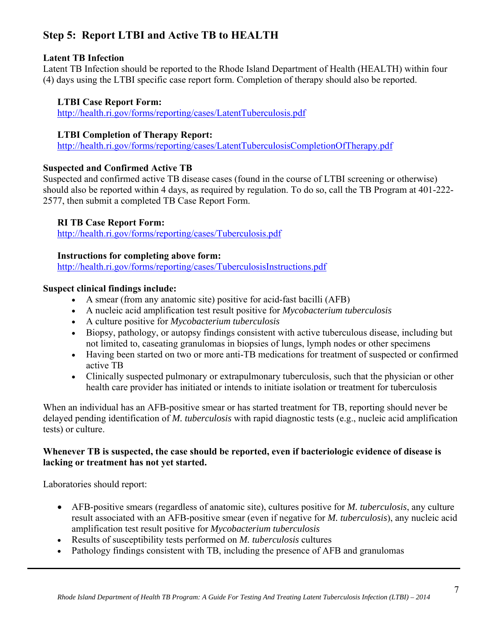# **Step 5: Report LTBI and Active TB to HEALTH**

### **Latent TB Infection**

Latent TB Infection should be reported to the Rhode Island Department of Health (HEALTH) within four (4) days using the LTBI specific case report form. Completion of therapy should also be reported.

### **LTBI Case Report Form:**

http://health.ri.gov/forms/reporting/cases/LatentTuberculosis.pdf

### **LTBI Completion of Therapy Report:**

http://health.ri.gov/forms/reporting/cases/LatentTuberculosisCompletionOfTherapy.pdf

### **Suspected and Confirmed Active TB**

Suspected and confirmed active TB disease cases (found in the course of LTBI screening or otherwise) should also be reported within 4 days, as required by regulation. To do so, call the TB Program at 401-222- 2577, then submit a completed TB Case Report Form.

### **RI TB Case Report Form:**

http://health.ri.gov/forms/reporting/cases/Tuberculosis.pdf

### **Instructions for completing above form:**

http://health.ri.gov/forms/reporting/cases/TuberculosisInstructions.pdf

### **Suspect clinical findings include:**

- A smear (from any anatomic site) positive for acid-fast bacilli (AFB)
- A nucleic acid amplification test result positive for *Mycobacterium tuberculosis*
- A culture positive for *Mycobacterium tuberculosis*
- Biopsy, pathology, or autopsy findings consistent with active tuberculous disease, including but not limited to, caseating granulomas in biopsies of lungs, lymph nodes or other specimens
- Having been started on two or more anti-TB medications for treatment of suspected or confirmed active TB
- Clinically suspected pulmonary or extrapulmonary tuberculosis, such that the physician or other health care provider has initiated or intends to initiate isolation or treatment for tuberculosis

When an individual has an AFB-positive smear or has started treatment for TB, reporting should never be delayed pending identification of *M. tuberculosis* with rapid diagnostic tests (e.g., nucleic acid amplification tests) or culture.

#### **Whenever TB is suspected, the case should be reported, even if bacteriologic evidence of disease is lacking or treatment has not yet started.**

Laboratories should report:

- AFB-positive smears (regardless of anatomic site), cultures positive for *M. tuberculosis*, any culture result associated with an AFB-positive smear (even if negative for *M. tuberculosis*), any nucleic acid amplification test result positive for *Mycobacterium tuberculosis*
- Results of susceptibility tests performed on *M. tuberculosis* cultures
- Pathology findings consistent with TB, including the presence of AFB and granulomas